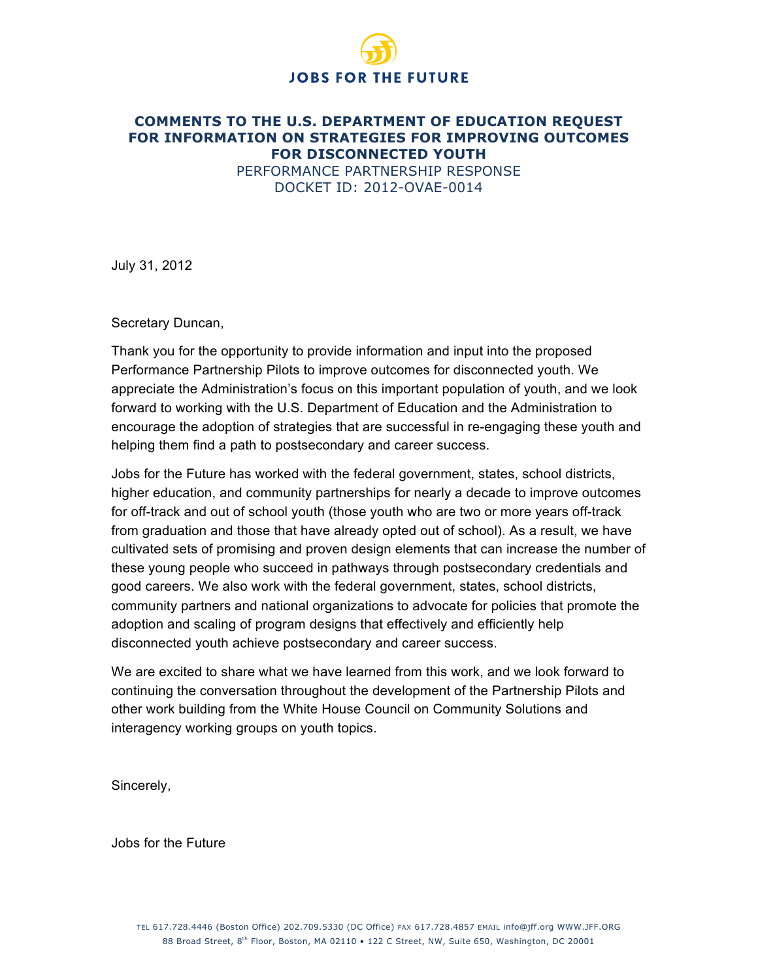# **JOBS FOR THE FUTURE**

#### **COMMENTS TO THE U.S. DEPARTMENT OF EDUCATION REQUEST FOR INFORMATION ON STRATEGIES FOR IMPROVING OUTCOMES FOR DISCONNECTED YOUTH** PERFORMANCE PARTNERSHIP RESPONSE DOCKET ID: 2012-OVAE-0014

July 31, 2012

Secretary Duncan,

Thank you for the opportunity to provide information and input into the proposed Performance Partnership Pilots to improve outcomes for disconnected youth. We appreciate the Administration's focus on this important population of youth, and we look forward to working with the U.S. Department of Education and the Administration to encourage the adoption of strategies that are successful in re-engaging these youth and helping them find a path to postsecondary and career success.

Jobs for the Future has worked with the federal government, states, school districts, higher education, and community partnerships for nearly a decade to improve outcomes for off-track and out of school youth (those youth who are two or more years off-track from graduation and those that have already opted out of school). As a result, we have cultivated sets of promising and proven design elements that can increase the number of these young people who succeed in pathways through postsecondary credentials and good careers. We also work with the federal government, states, school districts, community partners and national organizations to advocate for policies that promote the adoption and scaling of program designs that effectively and efficiently help disconnected youth achieve postsecondary and career success.

We are excited to share what we have learned from this work, and we look forward to continuing the conversation throughout the development of the Partnership Pilots and other work building from the White House Council on Community Solutions and interagency working groups on youth topics.

Sincerely,

Jobs for the Future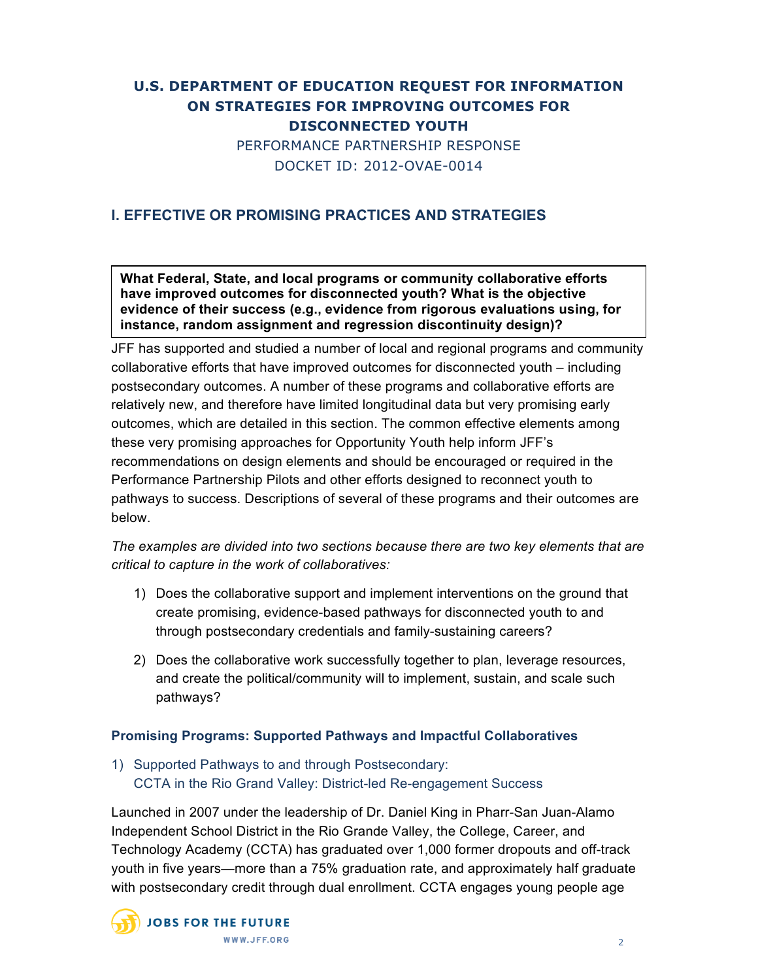# **U.S. DEPARTMENT OF EDUCATION REQUEST FOR INFORMATION ON STRATEGIES FOR IMPROVING OUTCOMES FOR DISCONNECTED YOUTH** PERFORMANCE PARTNERSHIP RESPONSE DOCKET ID: 2012-OVAE-0014

# **I. EFFECTIVE OR PROMISING PRACTICES AND STRATEGIES**

**What Federal, State, and local programs or community collaborative efforts have improved outcomes for disconnected youth? What is the objective evidence of their success (e.g., evidence from rigorous evaluations using, for instance, random assignment and regression discontinuity design)?**

JFF has supported and studied a number of local and regional programs and community collaborative efforts that have improved outcomes for disconnected youth – including postsecondary outcomes. A number of these programs and collaborative efforts are relatively new, and therefore have limited longitudinal data but very promising early outcomes, which are detailed in this section. The common effective elements among these very promising approaches for Opportunity Youth help inform JFF's recommendations on design elements and should be encouraged or required in the Performance Partnership Pilots and other efforts designed to reconnect youth to pathways to success. Descriptions of several of these programs and their outcomes are below.

*The examples are divided into two sections because there are two key elements that are critical to capture in the work of collaboratives:*

- 1) Does the collaborative support and implement interventions on the ground that create promising, evidence-based pathways for disconnected youth to and through postsecondary credentials and family-sustaining careers?
- 2) Does the collaborative work successfully together to plan, leverage resources, and create the political/community will to implement, sustain, and scale such pathways?

#### **Promising Programs: Supported Pathways and Impactful Collaboratives**

1) Supported Pathways to and through Postsecondary: CCTA in the Rio Grand Valley: District-led Re-engagement Success

Launched in 2007 under the leadership of Dr. Daniel King in Pharr-San Juan-Alamo Independent School District in the Rio Grande Valley, the College, Career, and Technology Academy (CCTA) has graduated over 1,000 former dropouts and off-track youth in five years—more than a 75% graduation rate, and approximately half graduate with postsecondary credit through dual enrollment. CCTA engages young people age

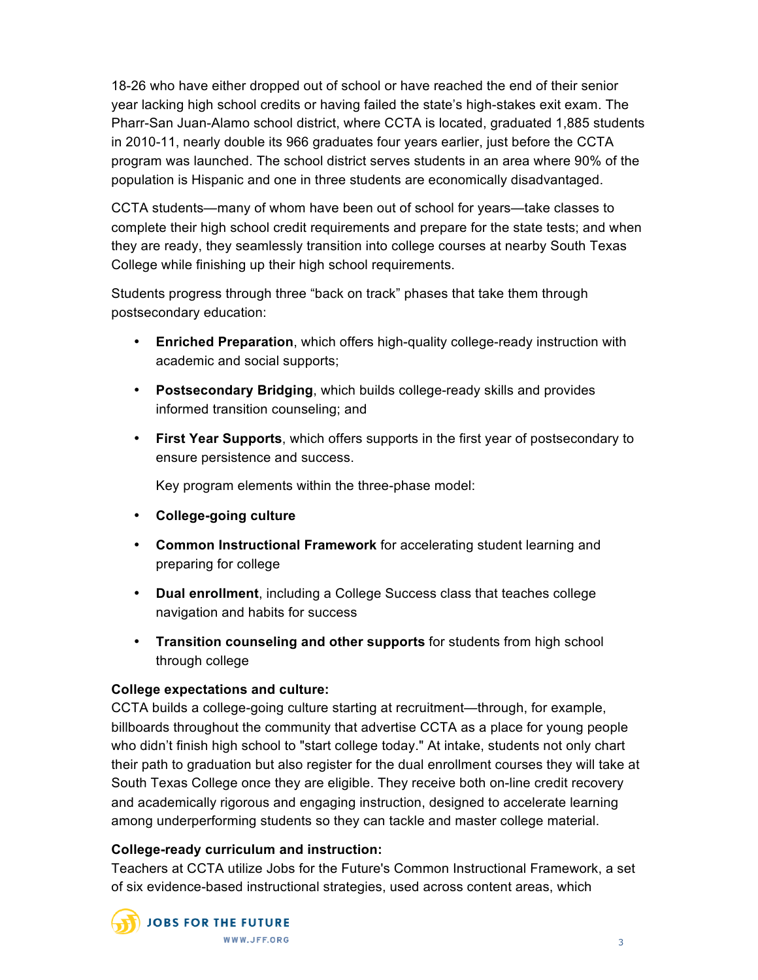18-26 who have either dropped out of school or have reached the end of their senior year lacking high school credits or having failed the state's high-stakes exit exam. The Pharr-San Juan-Alamo school district, where CCTA is located, graduated 1,885 students in 2010-11, nearly double its 966 graduates four years earlier, just before the CCTA program was launched. The school district serves students in an area where 90% of the population is Hispanic and one in three students are economically disadvantaged.

CCTA students—many of whom have been out of school for years—take classes to complete their high school credit requirements and prepare for the state tests; and when they are ready, they seamlessly transition into college courses at nearby South Texas College while finishing up their high school requirements.

Students progress through three "back on track" phases that take them through postsecondary education:

- **Enriched Preparation**, which offers high-quality college-ready instruction with academic and social supports;
- **Postsecondary Bridging**, which builds college-ready skills and provides informed transition counseling; and
- **First Year Supports**, which offers supports in the first year of postsecondary to ensure persistence and success.

Key program elements within the three-phase model:

- **College-going culture**
- **Common Instructional Framework** for accelerating student learning and preparing for college
- **Dual enrollment**, including a College Success class that teaches college navigation and habits for success
- **Transition counseling and other supports** for students from high school through college

# **College expectations and culture:**

CCTA builds a college-going culture starting at recruitment—through, for example, billboards throughout the community that advertise CCTA as a place for young people who didn't finish high school to "start college today." At intake, students not only chart their path to graduation but also register for the dual enrollment courses they will take at South Texas College once they are eligible. They receive both on-line credit recovery and academically rigorous and engaging instruction, designed to accelerate learning among underperforming students so they can tackle and master college material.

# **College-ready curriculum and instruction:**

Teachers at CCTA utilize Jobs for the Future's Common Instructional Framework, a set of six evidence-based instructional strategies, used across content areas, which

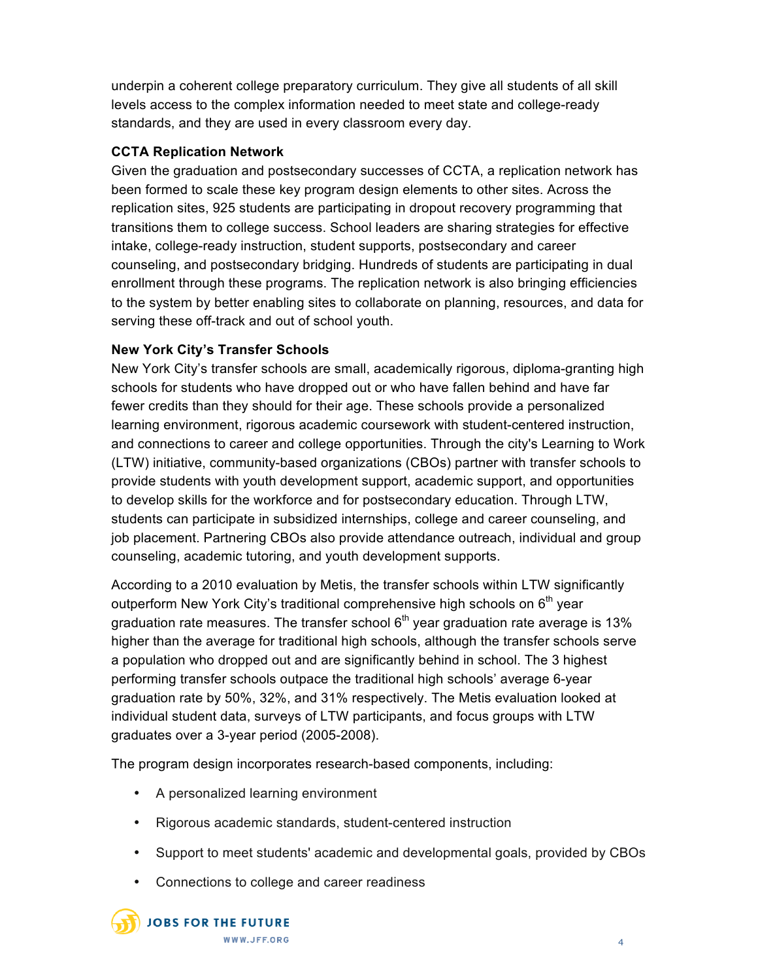underpin a coherent college preparatory curriculum. They give all students of all skill levels access to the complex information needed to meet state and college-ready standards, and they are used in every classroom every day.

## **CCTA Replication Network**

Given the graduation and postsecondary successes of CCTA, a replication network has been formed to scale these key program design elements to other sites. Across the replication sites, 925 students are participating in dropout recovery programming that transitions them to college success. School leaders are sharing strategies for effective intake, college-ready instruction, student supports, postsecondary and career counseling, and postsecondary bridging. Hundreds of students are participating in dual enrollment through these programs. The replication network is also bringing efficiencies to the system by better enabling sites to collaborate on planning, resources, and data for serving these off-track and out of school youth.

## **New York City's Transfer Schools**

New York City's transfer schools are small, academically rigorous, diploma-granting high schools for students who have dropped out or who have fallen behind and have far fewer credits than they should for their age. These schools provide a personalized learning environment, rigorous academic coursework with student-centered instruction, and connections to career and college opportunities. Through the city's Learning to Work (LTW) initiative, community-based organizations (CBOs) partner with transfer schools to provide students with youth development support, academic support, and opportunities to develop skills for the workforce and for postsecondary education. Through LTW, students can participate in subsidized internships, college and career counseling, and job placement. Partnering CBOs also provide attendance outreach, individual and group counseling, academic tutoring, and youth development supports.

According to a 2010 evaluation by Metis, the transfer schools within LTW significantly outperform New York City's traditional comprehensive high schools on  $6<sup>th</sup>$  year graduation rate measures. The transfer school  $6<sup>th</sup>$  year graduation rate average is 13% higher than the average for traditional high schools, although the transfer schools serve a population who dropped out and are significantly behind in school. The 3 highest performing transfer schools outpace the traditional high schools' average 6-year graduation rate by 50%, 32%, and 31% respectively. The Metis evaluation looked at individual student data, surveys of LTW participants, and focus groups with LTW graduates over a 3-year period (2005-2008).

The program design incorporates research-based components, including:

- A personalized learning environment
- Rigorous academic standards, student-centered instruction
- Support to meet students' academic and developmental goals, provided by CBOs
- Connections to college and career readiness

**JOBS FOR THE FUTURE** WWW.JFF.ORG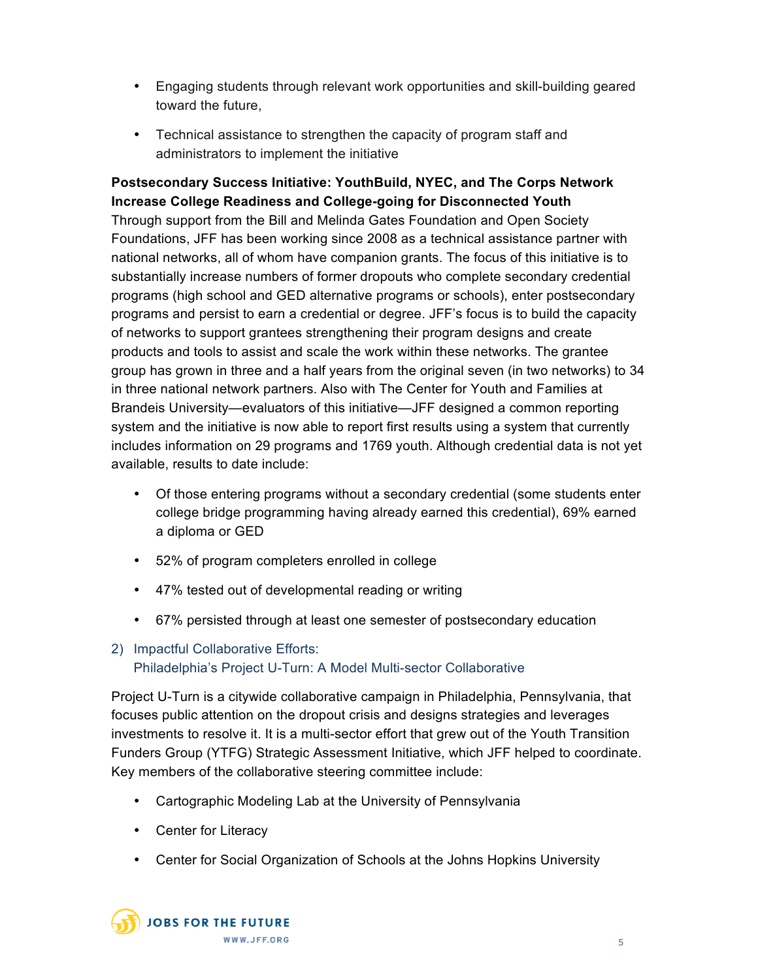- Engaging students through relevant work opportunities and skill-building geared toward the future,
- Technical assistance to strengthen the capacity of program staff and administrators to implement the initiative

**Postsecondary Success Initiative: YouthBuild, NYEC, and The Corps Network Increase College Readiness and College-going for Disconnected Youth** Through support from the Bill and Melinda Gates Foundation and Open Society Foundations, JFF has been working since 2008 as a technical assistance partner with national networks, all of whom have companion grants. The focus of this initiative is to substantially increase numbers of former dropouts who complete secondary credential programs (high school and GED alternative programs or schools), enter postsecondary programs and persist to earn a credential or degree. JFF's focus is to build the capacity of networks to support grantees strengthening their program designs and create products and tools to assist and scale the work within these networks. The grantee group has grown in three and a half years from the original seven (in two networks) to 34 in three national network partners. Also with The Center for Youth and Families at Brandeis University—evaluators of this initiative—JFF designed a common reporting system and the initiative is now able to report first results using a system that currently includes information on 29 programs and 1769 youth. Although credential data is not yet available, results to date include:

- Of those entering programs without a secondary credential (some students enter college bridge programming having already earned this credential), 69% earned a diploma or GED
- 52% of program completers enrolled in college
- 47% tested out of developmental reading or writing
- 67% persisted through at least one semester of postsecondary education

# 2) Impactful Collaborative Efforts: Philadelphia's Project U-Turn: A Model Multi-sector Collaborative

Project U-Turn is a citywide collaborative campaign in Philadelphia, Pennsylvania, that focuses public attention on the dropout crisis and designs strategies and leverages investments to resolve it. It is a multi-sector effort that grew out of the Youth Transition Funders Group (YTFG) Strategic Assessment Initiative, which JFF helped to coordinate. Key members of the collaborative steering committee include:

- Cartographic Modeling Lab at the University of Pennsylvania
- Center for Literacy
- Center for Social Organization of Schools at the Johns Hopkins University

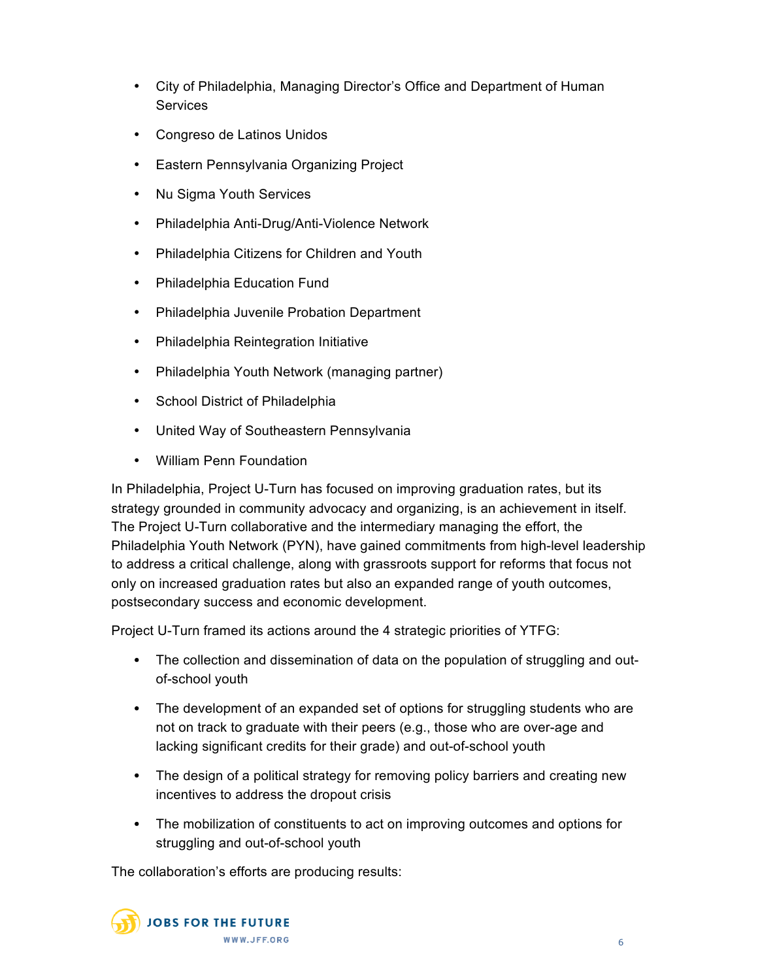- City of Philadelphia, Managing Director's Office and Department of Human **Services**
- Congreso de Latinos Unidos
- Eastern Pennsylvania Organizing Project
- Nu Sigma Youth Services
- Philadelphia Anti-Drug/Anti-Violence Network
- Philadelphia Citizens for Children and Youth
- Philadelphia Education Fund
- Philadelphia Juvenile Probation Department
- Philadelphia Reintegration Initiative
- Philadelphia Youth Network (managing partner)
- School District of Philadelphia
- United Way of Southeastern Pennsylvania
- William Penn Foundation

In Philadelphia, Project U-Turn has focused on improving graduation rates, but its strategy grounded in community advocacy and organizing, is an achievement in itself. The Project U-Turn collaborative and the intermediary managing the effort, the Philadelphia Youth Network (PYN), have gained commitments from high-level leadership to address a critical challenge, along with grassroots support for reforms that focus not only on increased graduation rates but also an expanded range of youth outcomes, postsecondary success and economic development.

Project U-Turn framed its actions around the 4 strategic priorities of YTFG:

- The collection and dissemination of data on the population of struggling and outof-school youth
- The development of an expanded set of options for struggling students who are not on track to graduate with their peers (e.g., those who are over-age and lacking significant credits for their grade) and out-of-school youth
- The design of a political strategy for removing policy barriers and creating new incentives to address the dropout crisis
- The mobilization of constituents to act on improving outcomes and options for struggling and out-of-school youth

The collaboration's efforts are producing results:

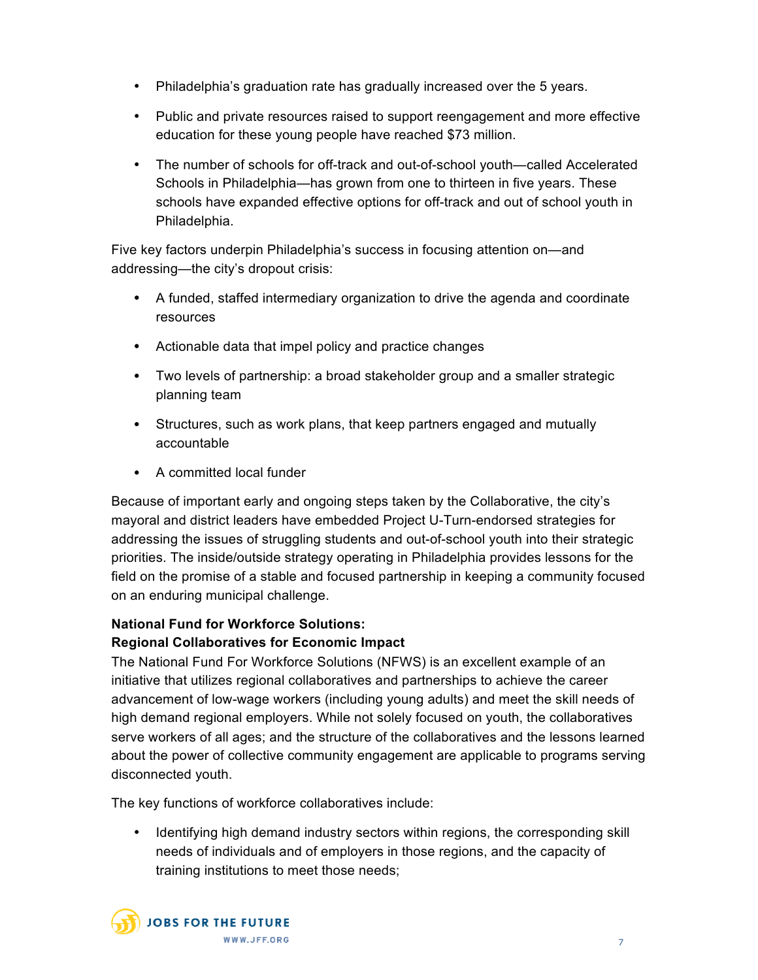- Philadelphia's graduation rate has gradually increased over the 5 years.
- Public and private resources raised to support reengagement and more effective education for these young people have reached \$73 million.
- The number of schools for off-track and out-of-school youth—called Accelerated Schools in Philadelphia—has grown from one to thirteen in five years. These schools have expanded effective options for off-track and out of school youth in Philadelphia.

Five key factors underpin Philadelphia's success in focusing attention on—and addressing—the city's dropout crisis:

- A funded, staffed intermediary organization to drive the agenda and coordinate resources
- Actionable data that impel policy and practice changes
- Two levels of partnership: a broad stakeholder group and a smaller strategic planning team
- Structures, such as work plans, that keep partners engaged and mutually accountable
- A committed local funder

Because of important early and ongoing steps taken by the Collaborative, the city's mayoral and district leaders have embedded Project U-Turn-endorsed strategies for addressing the issues of struggling students and out-of-school youth into their strategic priorities. The inside/outside strategy operating in Philadelphia provides lessons for the field on the promise of a stable and focused partnership in keeping a community focused on an enduring municipal challenge.

# **National Fund for Workforce Solutions:**

# **Regional Collaboratives for Economic Impact**

The National Fund For Workforce Solutions (NFWS) is an excellent example of an initiative that utilizes regional collaboratives and partnerships to achieve the career advancement of low-wage workers (including young adults) and meet the skill needs of high demand regional employers. While not solely focused on youth, the collaboratives serve workers of all ages; and the structure of the collaboratives and the lessons learned about the power of collective community engagement are applicable to programs serving disconnected youth.

The key functions of workforce collaboratives include:

• Identifying high demand industry sectors within regions, the corresponding skill needs of individuals and of employers in those regions, and the capacity of training institutions to meet those needs;

**JOBS FOR THE FUTURE** WWW.JFF.ORG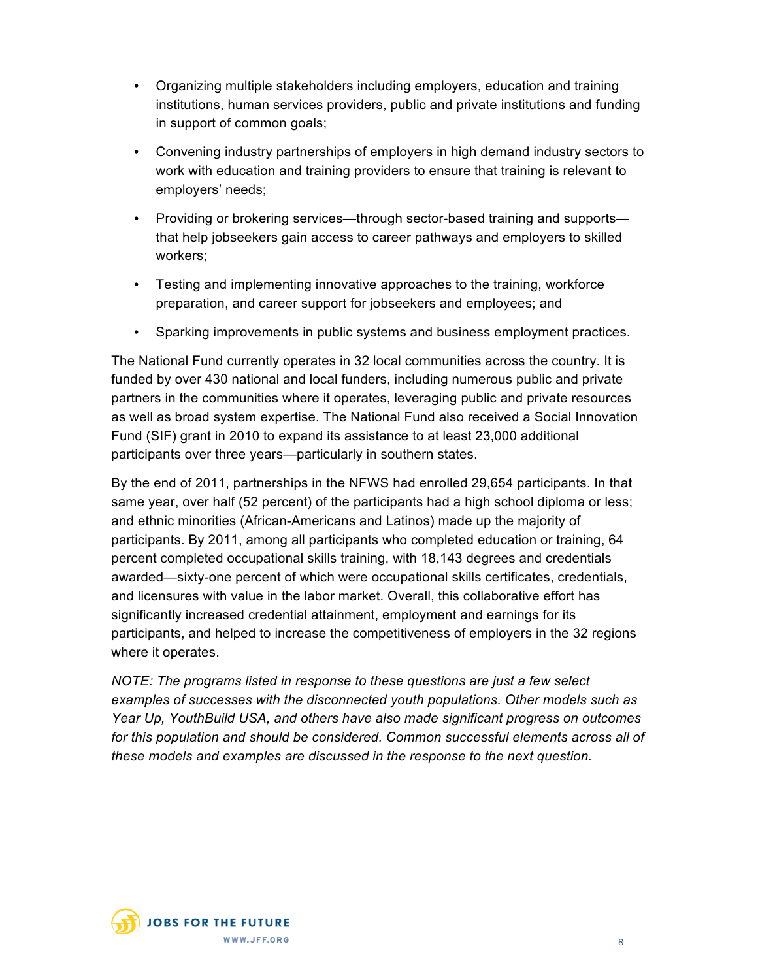- Organizing multiple stakeholders including employers, education and training institutions, human services providers, public and private institutions and funding in support of common goals;
- Convening industry partnerships of employers in high demand industry sectors to work with education and training providers to ensure that training is relevant to employers' needs;
- Providing or brokering services—through sector-based training and supports that help jobseekers gain access to career pathways and employers to skilled workers;
- Testing and implementing innovative approaches to the training, workforce preparation, and career support for jobseekers and employees; and
- Sparking improvements in public systems and business employment practices.

The National Fund currently operates in 32 local communities across the country. It is funded by over 430 national and local funders, including numerous public and private partners in the communities where it operates, leveraging public and private resources as well as broad system expertise. The National Fund also received a Social Innovation Fund (SIF) grant in 2010 to expand its assistance to at least 23,000 additional participants over three years—particularly in southern states.

By the end of 2011, partnerships in the NFWS had enrolled 29,654 participants. In that same year, over half (52 percent) of the participants had a high school diploma or less; and ethnic minorities (African-Americans and Latinos) made up the majority of participants. By 2011, among all participants who completed education or training, 64 percent completed occupational skills training, with 18,143 degrees and credentials awarded—sixty-one percent of which were occupational skills certificates, credentials, and licensures with value in the labor market. Overall, this collaborative effort has significantly increased credential attainment, employment and earnings for its participants, and helped to increase the competitiveness of employers in the 32 regions where it operates.

*NOTE: The programs listed in response to these questions are just a few select examples of successes with the disconnected youth populations. Other models such as Year Up, YouthBuild USA, and others have also made significant progress on outcomes for this population and should be considered. Common successful elements across all of these models and examples are discussed in the response to the next question.*

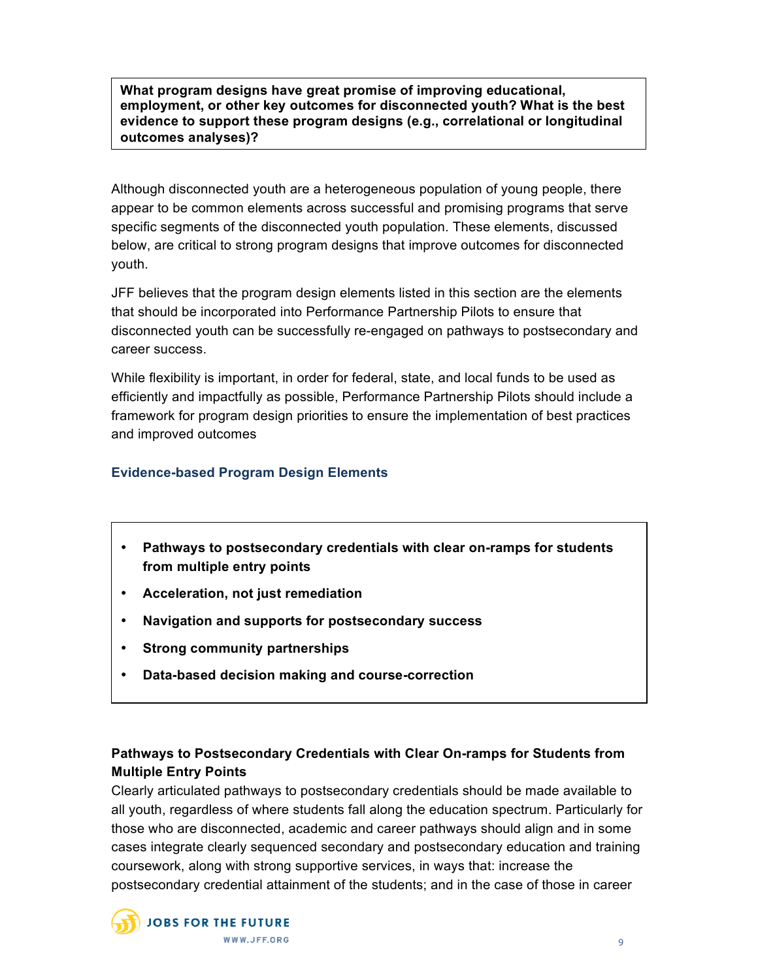**What program designs have great promise of improving educational, employment, or other key outcomes for disconnected youth? What is the best evidence to support these program designs (e.g., correlational or longitudinal outcomes analyses)?**

Although disconnected youth are a heterogeneous population of young people, there appear to be common elements across successful and promising programs that serve specific segments of the disconnected youth population. These elements, discussed below, are critical to strong program designs that improve outcomes for disconnected youth.

JFF believes that the program design elements listed in this section are the elements that should be incorporated into Performance Partnership Pilots to ensure that disconnected youth can be successfully re-engaged on pathways to postsecondary and career success.

While flexibility is important, in order for federal, state, and local funds to be used as efficiently and impactfully as possible, Performance Partnership Pilots should include a framework for program design priorities to ensure the implementation of best practices and improved outcomes

## **Evidence-based Program Design Elements**

- **Pathways to postsecondary credentials with clear on-ramps for students from multiple entry points**
- **Acceleration, not just remediation**
- **Navigation and supports for postsecondary success**
- **Strong community partnerships**
- **Data-based decision making and course-correction**

# **Pathways to Postsecondary Credentials with Clear On-ramps for Students from Multiple Entry Points**

Clearly articulated pathways to postsecondary credentials should be made available to all youth, regardless of where students fall along the education spectrum. Particularly for those who are disconnected, academic and career pathways should align and in some cases integrate clearly sequenced secondary and postsecondary education and training coursework, along with strong supportive services, in ways that: increase the postsecondary credential attainment of the students; and in the case of those in career

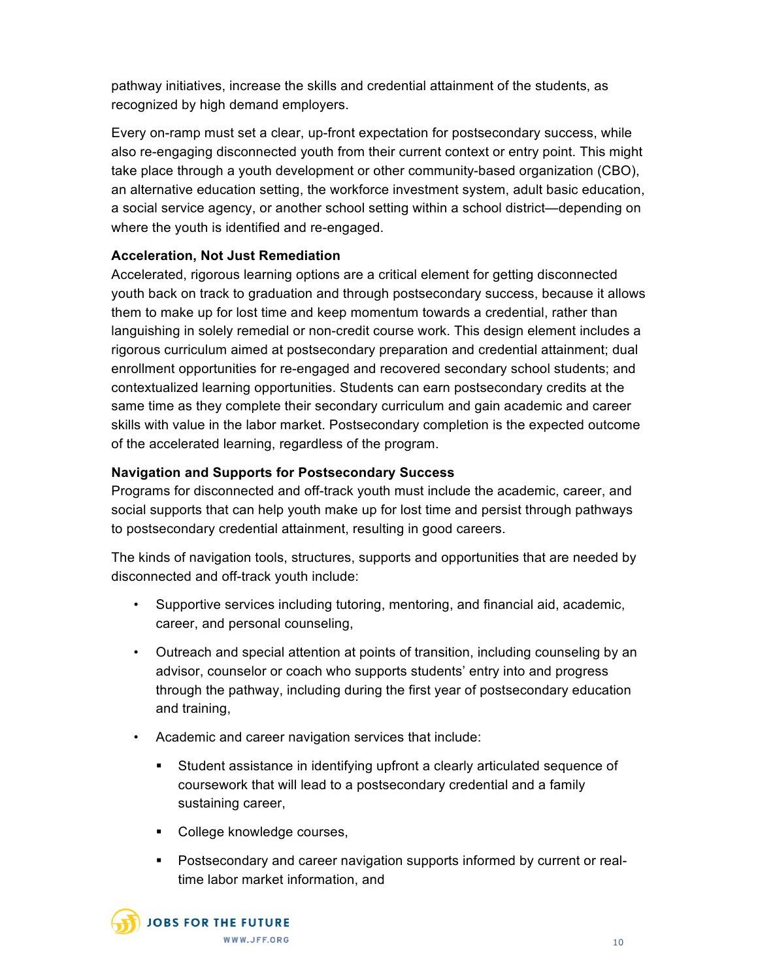pathway initiatives, increase the skills and credential attainment of the students, as recognized by high demand employers.

Every on-ramp must set a clear, up-front expectation for postsecondary success, while also re-engaging disconnected youth from their current context or entry point. This might take place through a youth development or other community-based organization (CBO), an alternative education setting, the workforce investment system, adult basic education, a social service agency, or another school setting within a school district—depending on where the youth is identified and re-engaged.

# **Acceleration, Not Just Remediation**

Accelerated, rigorous learning options are a critical element for getting disconnected youth back on track to graduation and through postsecondary success, because it allows them to make up for lost time and keep momentum towards a credential, rather than languishing in solely remedial or non-credit course work. This design element includes a rigorous curriculum aimed at postsecondary preparation and credential attainment; dual enrollment opportunities for re-engaged and recovered secondary school students; and contextualized learning opportunities. Students can earn postsecondary credits at the same time as they complete their secondary curriculum and gain academic and career skills with value in the labor market. Postsecondary completion is the expected outcome of the accelerated learning, regardless of the program.

# **Navigation and Supports for Postsecondary Success**

Programs for disconnected and off-track youth must include the academic, career, and social supports that can help youth make up for lost time and persist through pathways to postsecondary credential attainment, resulting in good careers.

The kinds of navigation tools, structures, supports and opportunities that are needed by disconnected and off-track youth include:

- Supportive services including tutoring, mentoring, and financial aid, academic, career, and personal counseling,
- Outreach and special attention at points of transition, including counseling by an advisor, counselor or coach who supports students' entry into and progress through the pathway, including during the first year of postsecondary education and training,
- Academic and career navigation services that include:
	- Student assistance in identifying upfront a clearly articulated sequence of coursework that will lead to a postsecondary credential and a family sustaining career,
	- College knowledge courses,
	- Postsecondary and career navigation supports informed by current or realtime labor market information, and

**JOBS FOR THE FUTURE** WWW.JFF.ORG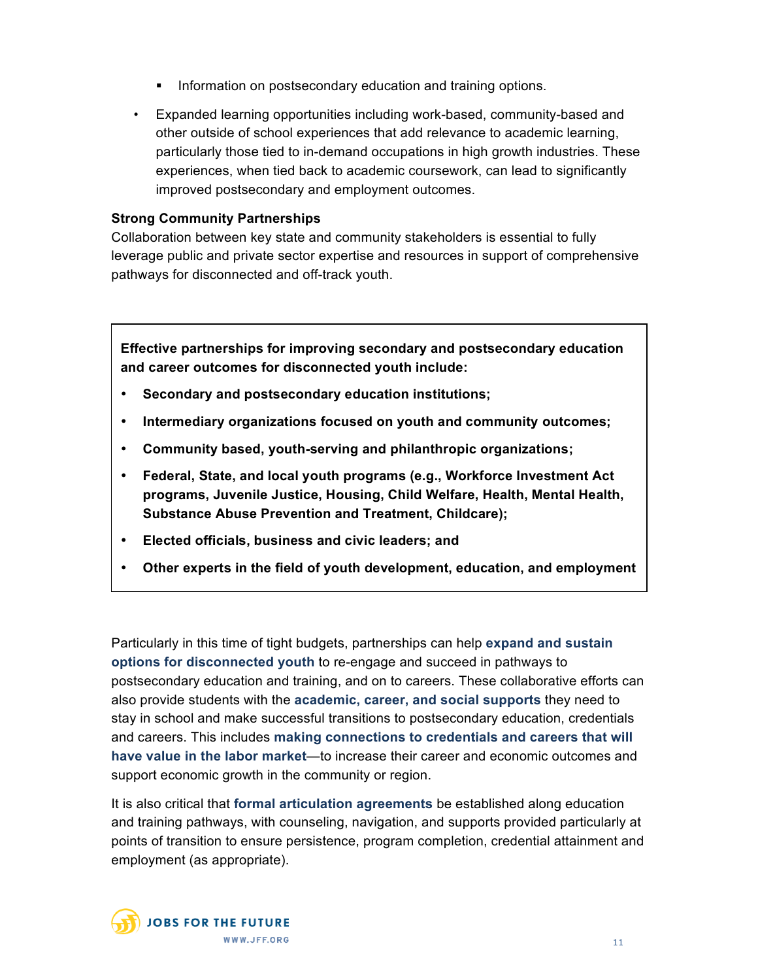- **Information on postsecondary education and training options.**
- Expanded learning opportunities including work-based, community-based and other outside of school experiences that add relevance to academic learning, particularly those tied to in-demand occupations in high growth industries. These experiences, when tied back to academic coursework, can lead to significantly improved postsecondary and employment outcomes.

### **Strong Community Partnerships**

Collaboration between key state and community stakeholders is essential to fully leverage public and private sector expertise and resources in support of comprehensive pathways for disconnected and off-track youth.

**Effective partnerships for improving secondary and postsecondary education and career outcomes for disconnected youth include:**

- **Secondary and postsecondary education institutions;**
- **Intermediary organizations focused on youth and community outcomes;**
- **Community based, youth-serving and philanthropic organizations;**
- **Federal, State, and local youth programs (e.g., Workforce Investment Act programs, Juvenile Justice, Housing, Child Welfare, Health, Mental Health, Substance Abuse Prevention and Treatment, Childcare);**
- **Elected officials, business and civic leaders; and**
- **Other experts in the field of youth development, education, and employment**

Particularly in this time of tight budgets, partnerships can help **expand and sustain options for disconnected youth** to re-engage and succeed in pathways to postsecondary education and training, and on to careers. These collaborative efforts can also provide students with the **academic, career, and social supports** they need to stay in school and make successful transitions to postsecondary education, credentials and careers. This includes **making connections to credentials and careers that will have value in the labor market**—to increase their career and economic outcomes and support economic growth in the community or region.

It is also critical that **formal articulation agreements** be established along education and training pathways, with counseling, navigation, and supports provided particularly at points of transition to ensure persistence, program completion, credential attainment and employment (as appropriate).

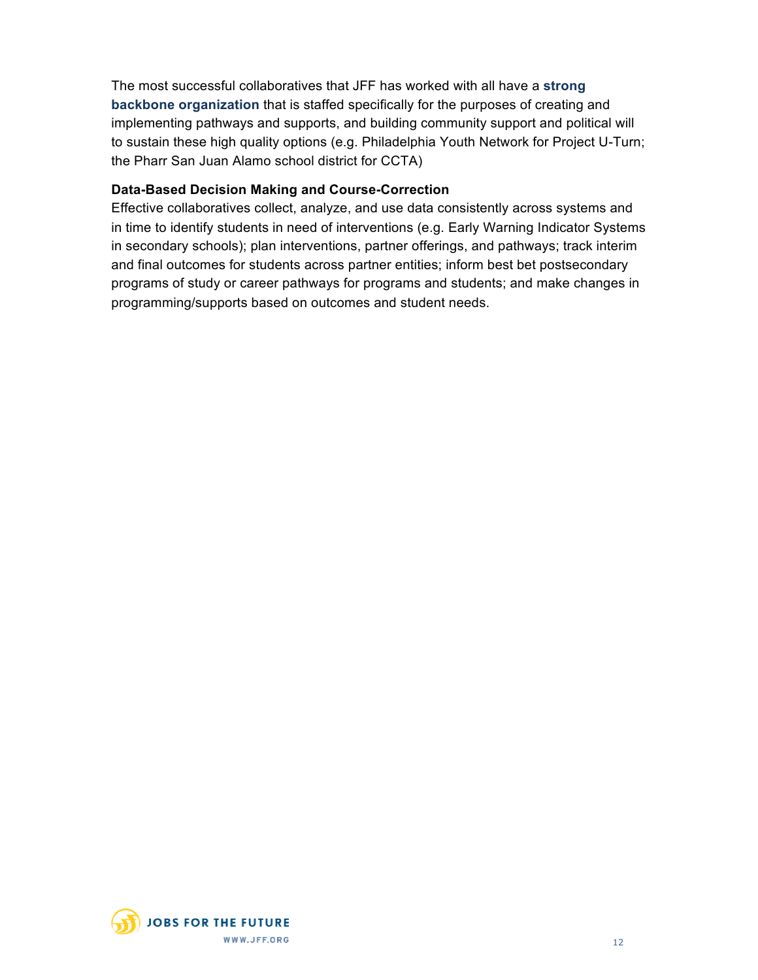The most successful collaboratives that JFF has worked with all have a **strong backbone organization** that is staffed specifically for the purposes of creating and implementing pathways and supports, and building community support and political will to sustain these high quality options (e.g. Philadelphia Youth Network for Project U-Turn; the Pharr San Juan Alamo school district for CCTA)

### **Data-Based Decision Making and Course-Correction**

Effective collaboratives collect, analyze, and use data consistently across systems and in time to identify students in need of interventions (e.g. Early Warning Indicator Systems in secondary schools); plan interventions, partner offerings, and pathways; track interim and final outcomes for students across partner entities; inform best bet postsecondary programs of study or career pathways for programs and students; and make changes in programming/supports based on outcomes and student needs.

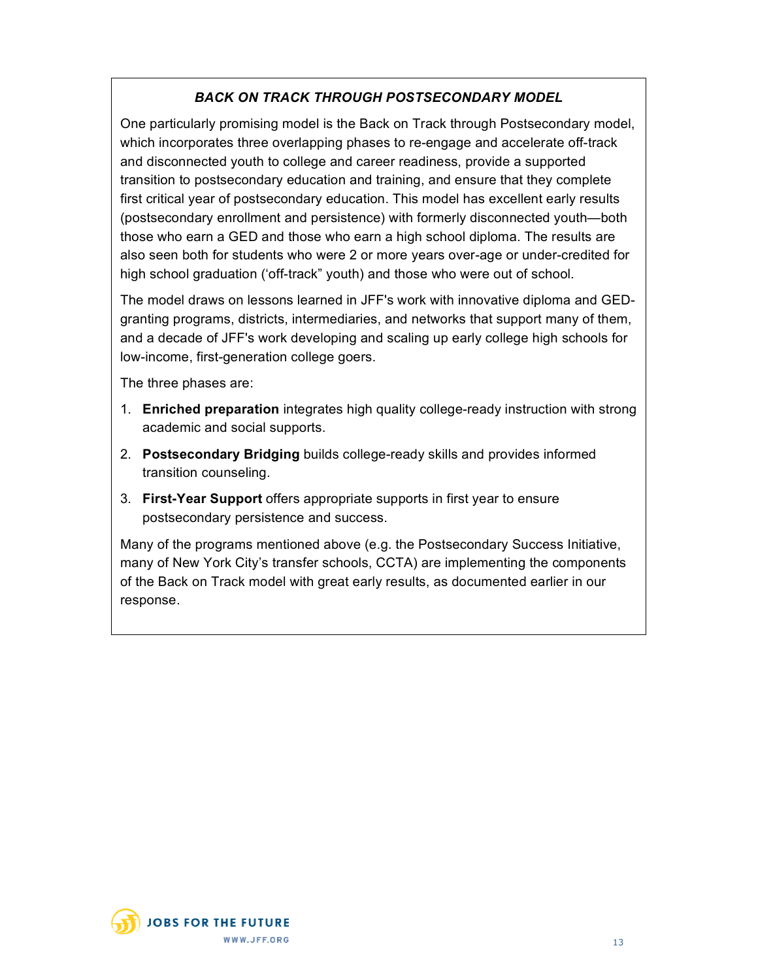# *BACK ON TRACK THROUGH POSTSECONDARY MODEL*

One particularly promising model is the Back on Track through Postsecondary model, which incorporates three overlapping phases to re-engage and accelerate off-track and disconnected youth to college and career readiness, provide a supported transition to postsecondary education and training, and ensure that they complete first critical year of postsecondary education. This model has excellent early results (postsecondary enrollment and persistence) with formerly disconnected youth—both those who earn a GED and those who earn a high school diploma. The results are also seen both for students who were 2 or more years over-age or under-credited for high school graduation ('off-track" youth) and those who were out of school.

The model draws on lessons learned in JFF's work with innovative diploma and GEDgranting programs, districts, intermediaries, and networks that support many of them, and a decade of JFF's work developing and scaling up early college high schools for low-income, first-generation college goers.

The three phases are:

- 1. **Enriched preparation** integrates high quality college-ready instruction with strong academic and social supports.
- 2. **Postsecondary Bridging** builds college-ready skills and provides informed transition counseling.
- 3. **First-Year Support** offers appropriate supports in first year to ensure postsecondary persistence and success.

Many of the programs mentioned above (e.g. the Postsecondary Success Initiative, many of New York City's transfer schools, CCTA) are implementing the components of the Back on Track model with great early results, as documented earlier in our response.

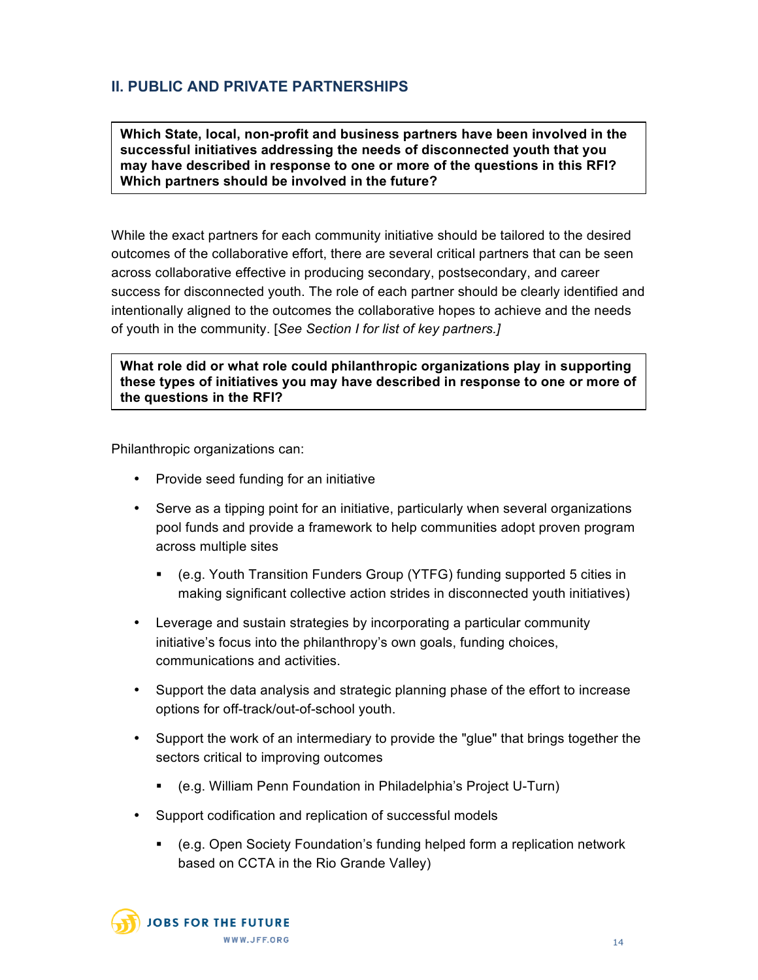# **II. PUBLIC AND PRIVATE PARTNERSHIPS**

**Which State, local, non-profit and business partners have been involved in the successful initiatives addressing the needs of disconnected youth that you may have described in response to one or more of the questions in this RFI? Which partners should be involved in the future?**

While the exact partners for each community initiative should be tailored to the desired outcomes of the collaborative effort, there are several critical partners that can be seen across collaborative effective in producing secondary, postsecondary, and career success for disconnected youth. The role of each partner should be clearly identified and intentionally aligned to the outcomes the collaborative hopes to achieve and the needs of youth in the community. [*See Section I for list of key partners.]*

**What role did or what role could philanthropic organizations play in supporting these types of initiatives you may have described in response to one or more of the questions in the RFI?**

Philanthropic organizations can:

- Provide seed funding for an initiative
- Serve as a tipping point for an initiative, particularly when several organizations pool funds and provide a framework to help communities adopt proven program across multiple sites
	- (e.g. Youth Transition Funders Group (YTFG) funding supported 5 cities in making significant collective action strides in disconnected youth initiatives)
- Leverage and sustain strategies by incorporating a particular community initiative's focus into the philanthropy's own goals, funding choices, communications and activities.
- Support the data analysis and strategic planning phase of the effort to increase options for off-track/out-of-school youth.
- Support the work of an intermediary to provide the "glue" that brings together the sectors critical to improving outcomes
	- (e.g. William Penn Foundation in Philadelphia's Project U-Turn)
- Support codification and replication of successful models
	- (e.g. Open Society Foundation's funding helped form a replication network based on CCTA in the Rio Grande Valley)

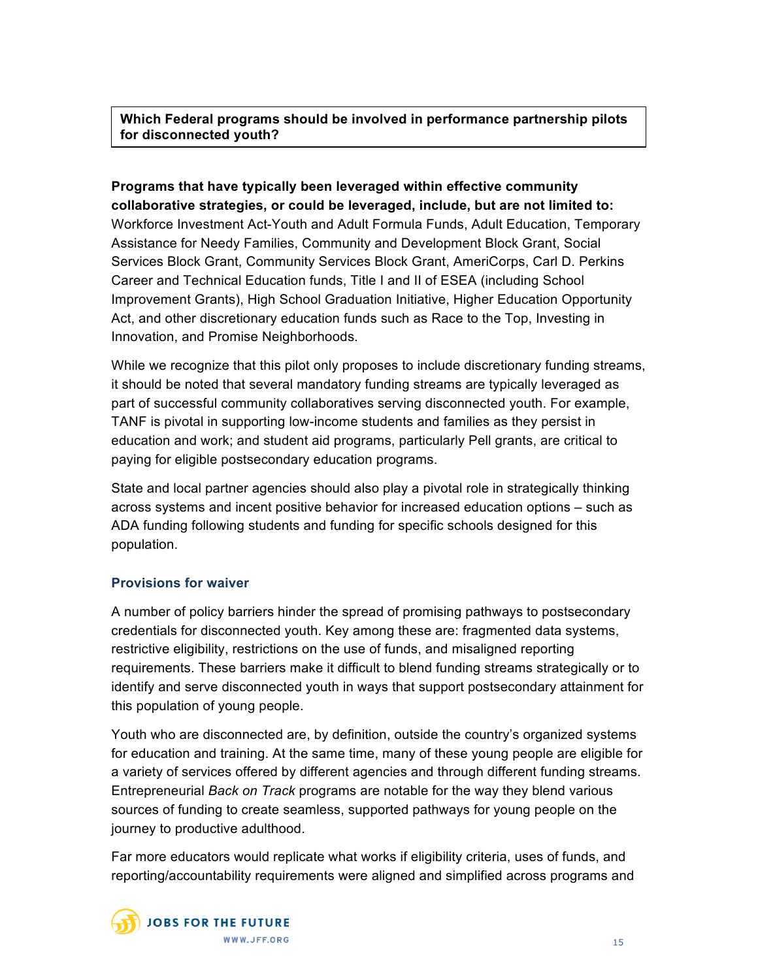**Which Federal programs should be involved in performance partnership pilots for disconnected youth?**

**Programs that have typically been leveraged within effective community collaborative strategies, or could be leveraged, include, but are not limited to:** Workforce Investment Act-Youth and Adult Formula Funds, Adult Education, Temporary Assistance for Needy Families, Community and Development Block Grant, Social Services Block Grant, Community Services Block Grant, AmeriCorps, Carl D. Perkins Career and Technical Education funds, Title I and II of ESEA (including School Improvement Grants), High School Graduation Initiative, Higher Education Opportunity Act, and other discretionary education funds such as Race to the Top, Investing in Innovation, and Promise Neighborhoods.

While we recognize that this pilot only proposes to include discretionary funding streams, it should be noted that several mandatory funding streams are typically leveraged as part of successful community collaboratives serving disconnected youth. For example, TANF is pivotal in supporting low-income students and families as they persist in education and work; and student aid programs, particularly Pell grants, are critical to paying for eligible postsecondary education programs.

State and local partner agencies should also play a pivotal role in strategically thinking across systems and incent positive behavior for increased education options – such as ADA funding following students and funding for specific schools designed for this population.

#### **Provisions for waiver**

A number of policy barriers hinder the spread of promising pathways to postsecondary credentials for disconnected youth. Key among these are: fragmented data systems, restrictive eligibility, restrictions on the use of funds, and misaligned reporting requirements. These barriers make it difficult to blend funding streams strategically or to identify and serve disconnected youth in ways that support postsecondary attainment for this population of young people.

Youth who are disconnected are, by definition, outside the country's organized systems for education and training. At the same time, many of these young people are eligible for a variety of services offered by different agencies and through different funding streams. Entrepreneurial *Back on Track* programs are notable for the way they blend various sources of funding to create seamless, supported pathways for young people on the journey to productive adulthood.

Far more educators would replicate what works if eligibility criteria, uses of funds, and reporting/accountability requirements were aligned and simplified across programs and



WWW.JFF.ORG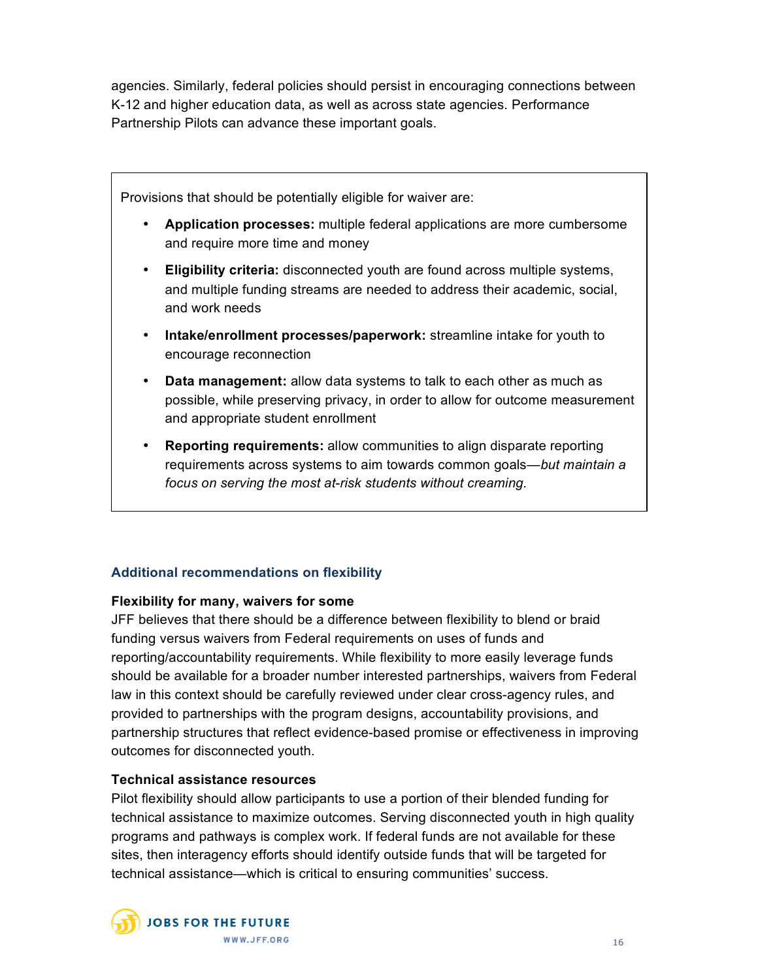agencies. Similarly, federal policies should persist in encouraging connections between K-12 and higher education data, as well as across state agencies. Performance Partnership Pilots can advance these important goals.

Provisions that should be potentially eligible for waiver are:

- **Application processes:** multiple federal applications are more cumbersome and require more time and money
- **Eligibility criteria:** disconnected youth are found across multiple systems, and multiple funding streams are needed to address their academic, social, and work needs
- **Intake/enrollment processes/paperwork:** streamline intake for youth to encourage reconnection
- **Data management:** allow data systems to talk to each other as much as possible, while preserving privacy, in order to allow for outcome measurement and appropriate student enrollment
- **Reporting requirements:** allow communities to align disparate reporting requirements across systems to aim towards common goals—*but maintain a focus on serving the most at-risk students without creaming.*

# **Additional recommendations on flexibility**

#### **Flexibility for many, waivers for some**

JFF believes that there should be a difference between flexibility to blend or braid funding versus waivers from Federal requirements on uses of funds and reporting/accountability requirements. While flexibility to more easily leverage funds should be available for a broader number interested partnerships, waivers from Federal law in this context should be carefully reviewed under clear cross-agency rules, and provided to partnerships with the program designs, accountability provisions, and partnership structures that reflect evidence-based promise or effectiveness in improving outcomes for disconnected youth.

# **Technical assistance resources**

Pilot flexibility should allow participants to use a portion of their blended funding for technical assistance to maximize outcomes. Serving disconnected youth in high quality programs and pathways is complex work. If federal funds are not available for these sites, then interagency efforts should identify outside funds that will be targeted for technical assistance—which is critical to ensuring communities' success.

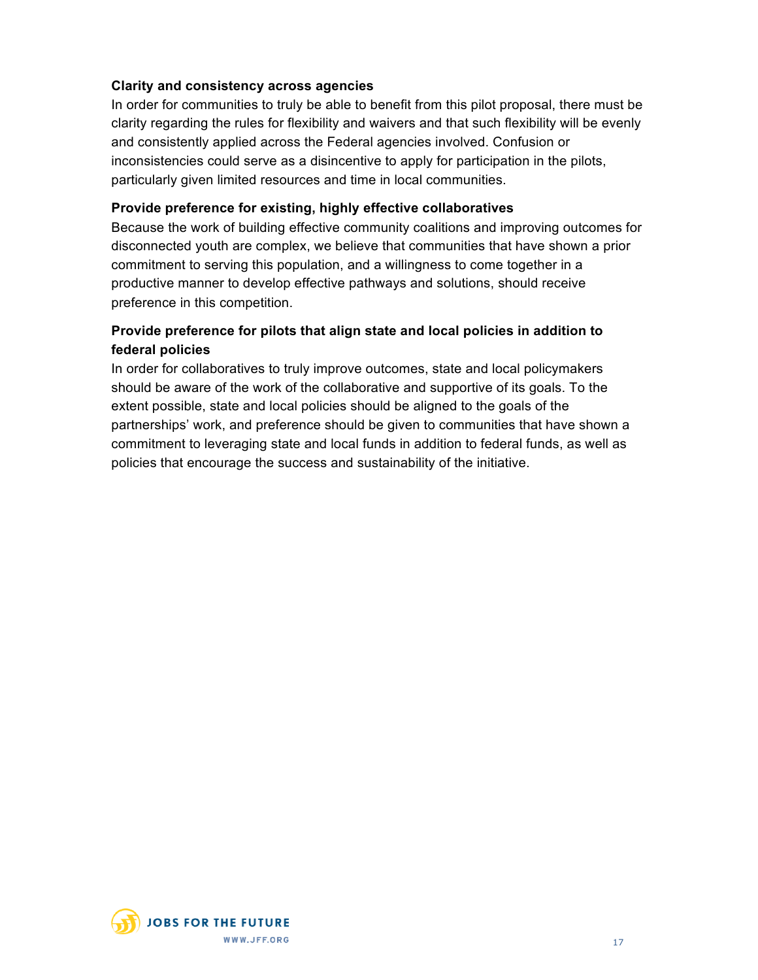## **Clarity and consistency across agencies**

In order for communities to truly be able to benefit from this pilot proposal, there must be clarity regarding the rules for flexibility and waivers and that such flexibility will be evenly and consistently applied across the Federal agencies involved. Confusion or inconsistencies could serve as a disincentive to apply for participation in the pilots, particularly given limited resources and time in local communities.

## **Provide preference for existing, highly effective collaboratives**

Because the work of building effective community coalitions and improving outcomes for disconnected youth are complex, we believe that communities that have shown a prior commitment to serving this population, and a willingness to come together in a productive manner to develop effective pathways and solutions, should receive preference in this competition.

# **Provide preference for pilots that align state and local policies in addition to federal policies**

In order for collaboratives to truly improve outcomes, state and local policymakers should be aware of the work of the collaborative and supportive of its goals. To the extent possible, state and local policies should be aligned to the goals of the partnerships' work, and preference should be given to communities that have shown a commitment to leveraging state and local funds in addition to federal funds, as well as policies that encourage the success and sustainability of the initiative.

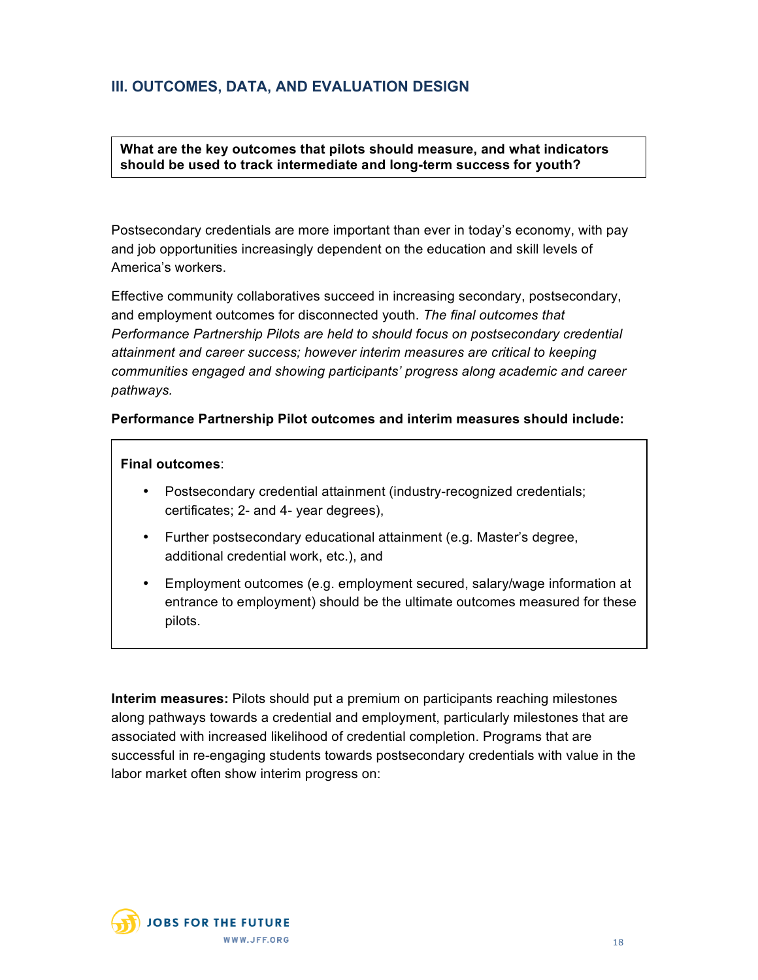# **III. OUTCOMES, DATA, AND EVALUATION DESIGN**

**What are the key outcomes that pilots should measure, and what indicators should be used to track intermediate and long-term success for youth?**

Postsecondary credentials are more important than ever in today's economy, with pay and job opportunities increasingly dependent on the education and skill levels of America's workers.

Effective community collaboratives succeed in increasing secondary, postsecondary, and employment outcomes for disconnected youth. *The final outcomes that Performance Partnership Pilots are held to should focus on postsecondary credential attainment and career success; however interim measures are critical to keeping communities engaged and showing participants' progress along academic and career pathways.*

#### **Performance Partnership Pilot outcomes and interim measures should include:**

#### **Final outcomes**:

- Postsecondary credential attainment (industry-recognized credentials; certificates; 2- and 4- year degrees),
- Further postsecondary educational attainment (e.g. Master's degree, additional credential work, etc.), and
- Employment outcomes (e.g. employment secured, salary/wage information at entrance to employment) should be the ultimate outcomes measured for these pilots.

**Interim measures:** Pilots should put a premium on participants reaching milestones along pathways towards a credential and employment, particularly milestones that are associated with increased likelihood of credential completion. Programs that are successful in re-engaging students towards postsecondary credentials with value in the labor market often show interim progress on:

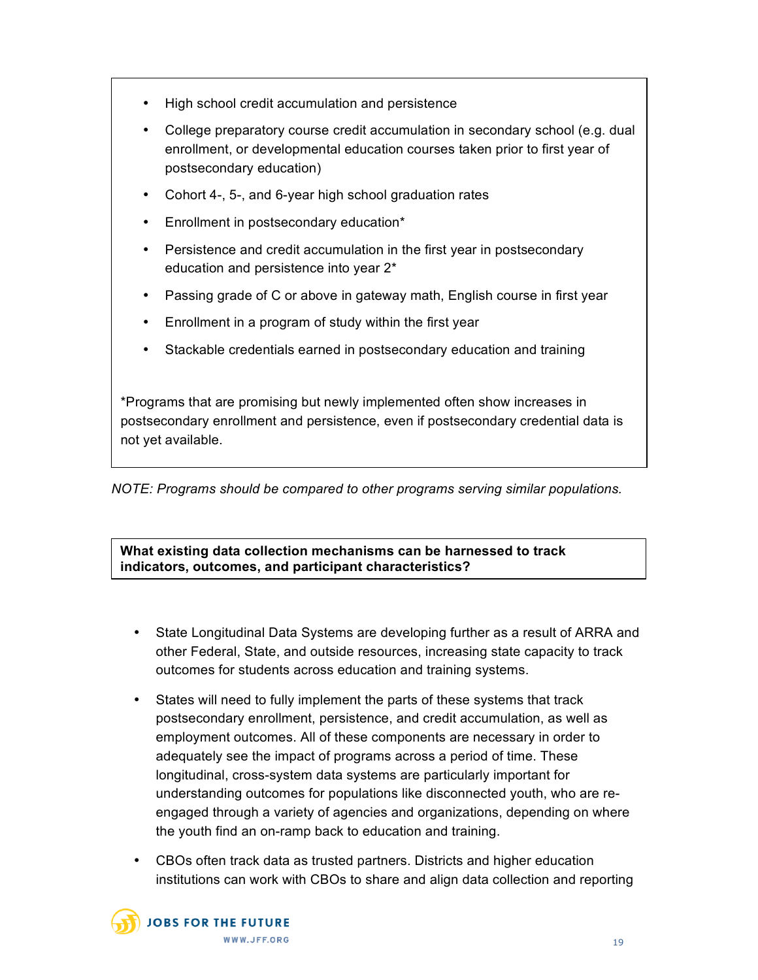- High school credit accumulation and persistence
- College preparatory course credit accumulation in secondary school (e.g. dual enrollment, or developmental education courses taken prior to first year of postsecondary education)
- Cohort 4-, 5-, and 6-year high school graduation rates
- Enrollment in postsecondary education\*
- Persistence and credit accumulation in the first year in postsecondary education and persistence into year 2\*
- Passing grade of C or above in gateway math, English course in first year
- Enrollment in a program of study within the first year
- Stackable credentials earned in postsecondary education and training

\*Programs that are promising but newly implemented often show increases in postsecondary enrollment and persistence, even if postsecondary credential data is not yet available.

*NOTE: Programs should be compared to other programs serving similar populations.*

**What existing data collection mechanisms can be harnessed to track indicators, outcomes, and participant characteristics?**

- State Longitudinal Data Systems are developing further as a result of ARRA and other Federal, State, and outside resources, increasing state capacity to track outcomes for students across education and training systems.
- States will need to fully implement the parts of these systems that track postsecondary enrollment, persistence, and credit accumulation, as well as employment outcomes. All of these components are necessary in order to adequately see the impact of programs across a period of time. These longitudinal, cross-system data systems are particularly important for understanding outcomes for populations like disconnected youth, who are reengaged through a variety of agencies and organizations, depending on where the youth find an on-ramp back to education and training.
- CBOs often track data as trusted partners. Districts and higher education institutions can work with CBOs to share and align data collection and reporting

**JOBS FOR THE FUTURE** WWW.JFF.ORG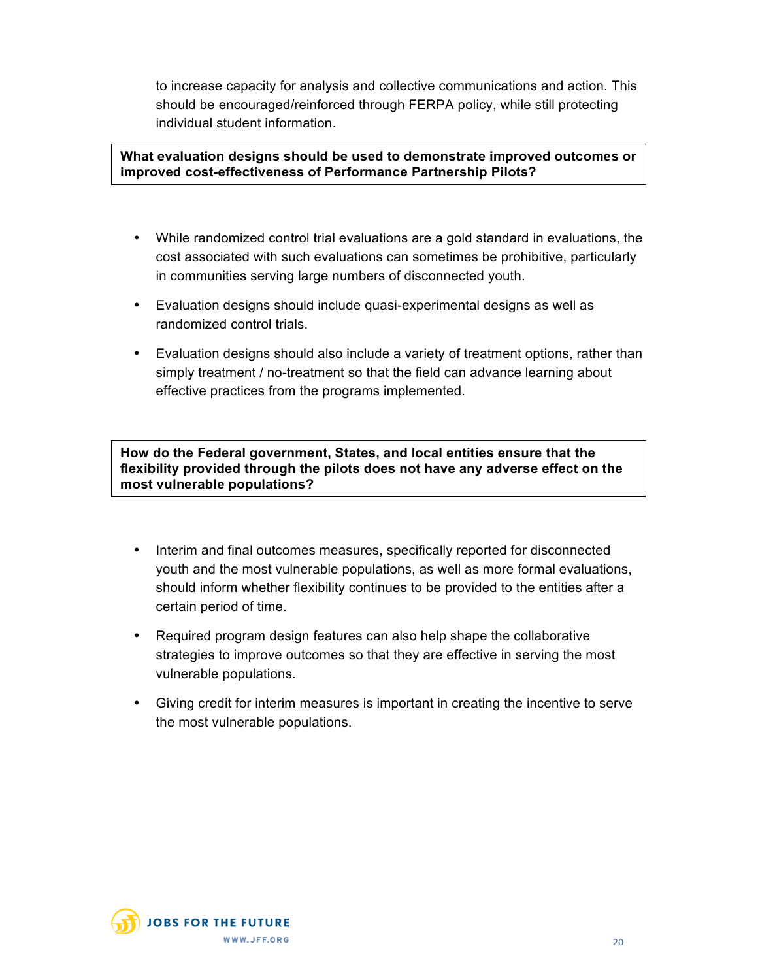to increase capacity for analysis and collective communications and action. This should be encouraged/reinforced through FERPA policy, while still protecting individual student information.

#### **What evaluation designs should be used to demonstrate improved outcomes or improved cost-effectiveness of Performance Partnership Pilots?**

- While randomized control trial evaluations are a gold standard in evaluations, the cost associated with such evaluations can sometimes be prohibitive, particularly in communities serving large numbers of disconnected youth.
- Evaluation designs should include quasi-experimental designs as well as randomized control trials.
- Evaluation designs should also include a variety of treatment options, rather than simply treatment / no-treatment so that the field can advance learning about effective practices from the programs implemented.

**How do the Federal government, States, and local entities ensure that the flexibility provided through the pilots does not have any adverse effect on the most vulnerable populations?**

- Interim and final outcomes measures, specifically reported for disconnected youth and the most vulnerable populations, as well as more formal evaluations, should inform whether flexibility continues to be provided to the entities after a certain period of time.
- Required program design features can also help shape the collaborative strategies to improve outcomes so that they are effective in serving the most vulnerable populations.
- Giving credit for interim measures is important in creating the incentive to serve the most vulnerable populations.